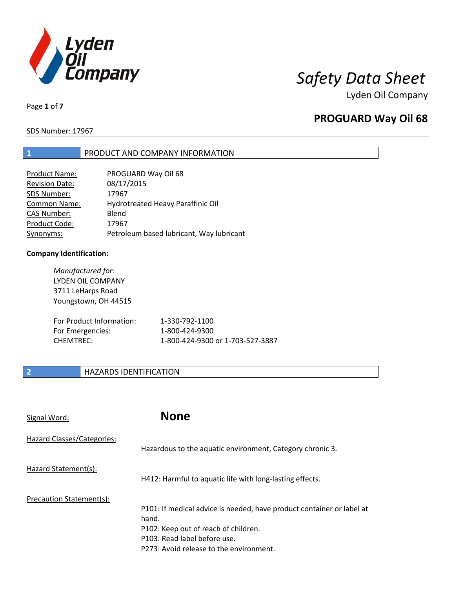

Lyden Oil Company

Page **1** of **7**

## **PROGUARD Way Oil 68**

SDS Number: 17967

### **1** PRODUCT AND COMPANY INFORMATION

| <b>Product Name:</b>  | PROGUARD Way Oil 68                      |
|-----------------------|------------------------------------------|
| <b>Revision Date:</b> | 08/17/2015                               |
| SDS Number:           | 17967                                    |
| <b>Common Name:</b>   | Hydrotreated Heavy Paraffinic Oil        |
| <b>CAS Number:</b>    | Blend                                    |
| Product Code:         | 17967                                    |
| Synonyms:             | Petroleum based lubricant, Way lubricant |

### **Company Identification:**

| Manufactured for:<br><b>LYDEN OIL COMPANY</b><br>3711 LeHarps Road<br>Youngstown, OH 44515 |                                  |
|--------------------------------------------------------------------------------------------|----------------------------------|
| For Product Information:                                                                   | 1-330-792-1100                   |
| For Emergencies:                                                                           | 1-800-424-9300                   |
| CHFMTRFC:                                                                                  | 1-800-424-9300 or 1-703-527-3887 |

### **2 HAZARDS IDENTIFICATION**

| Signal Word:               | <b>None</b>                                                                                                                                                                                       |
|----------------------------|---------------------------------------------------------------------------------------------------------------------------------------------------------------------------------------------------|
| Hazard Classes/Categories: | Hazardous to the aquatic environment, Category chronic 3.                                                                                                                                         |
| Hazard Statement(s):       | H412: Harmful to aquatic life with long-lasting effects.                                                                                                                                          |
| Precaution Statement(s):   | P101: If medical advice is needed, have product container or label at<br>hand.<br>P102: Keep out of reach of children.<br>P103: Read label before use.<br>P273: Avoid release to the environment. |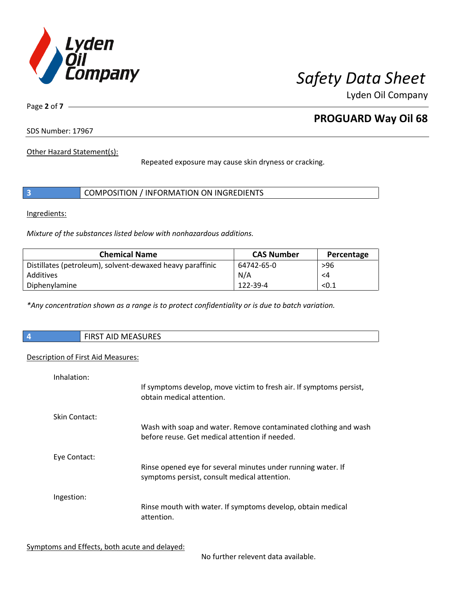

Lyden Oil Company

Page **2** of **7**

# **PROGUARD Way Oil 68**

SDS Number: 17967

Other Hazard Statement(s):

Repeated exposure may cause skin dryness or cracking.

|  | COMPOSITION / INFORMATION ON INGREDIENTS |
|--|------------------------------------------|
|--|------------------------------------------|

Ingredients:

 $\overline{\phantom{a}}$ 

*Mixture of the substances listed below with nonhazardous additions.*

| <b>Chemical Name</b>                                      | <b>CAS Number</b> | Percentage |
|-----------------------------------------------------------|-------------------|------------|
| Distillates (petroleum), solvent-dewaxed heavy paraffinic | 64742-65-0        | >96        |
| Additives                                                 | N/A               | <4         |
| Diphenylamine                                             | 122-39-4          | < 0.1      |

*\*Any concentration shown as a range is to protect confidentiality or is due to batch variation.*

| $\vert$ 4 | AID MEASURES<br>$\overline{\phantom{a}}$ rinct.<br>כחו־ |
|-----------|---------------------------------------------------------|
|           |                                                         |

### Description of First Aid Measures:

| Inhalation:   | If symptoms develop, move victim to fresh air. If symptoms persist,<br>obtain medical attention.                  |
|---------------|-------------------------------------------------------------------------------------------------------------------|
| Skin Contact: | Wash with soap and water. Remove contaminated clothing and wash<br>before reuse. Get medical attention if needed. |
| Eye Contact:  | Rinse opened eye for several minutes under running water. If<br>symptoms persist, consult medical attention.      |
| Ingestion:    | Rinse mouth with water. If symptoms develop, obtain medical<br>attention.                                         |

No further relevent data available.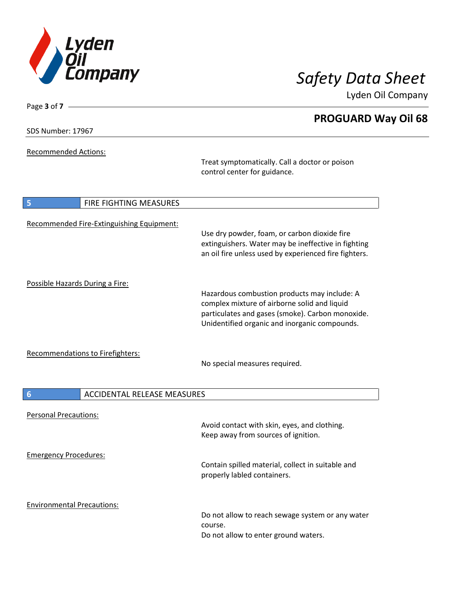

Lyden Oil Company

SDS Number: 17967

Page **3** of **7**

Recommended Actions:

Treat symptomatically. Call a doctor or poison control center for guidance.

| <b>FIRE FIGHTING MEASURES</b><br>5                    |                                                                                                                                                                                                   |
|-------------------------------------------------------|---------------------------------------------------------------------------------------------------------------------------------------------------------------------------------------------------|
| Recommended Fire-Extinguishing Equipment:             | Use dry powder, foam, or carbon dioxide fire<br>extinguishers. Water may be ineffective in fighting<br>an oil fire unless used by experienced fire fighters.                                      |
| Possible Hazards During a Fire:                       | Hazardous combustion products may include: A<br>complex mixture of airborne solid and liquid<br>particulates and gases (smoke). Carbon monoxide.<br>Unidentified organic and inorganic compounds. |
| <b>Recommendations to Firefighters:</b>               | No special measures required.                                                                                                                                                                     |
| $6\phantom{1}6$<br><b>ACCIDENTAL RELEASE MEASURES</b> |                                                                                                                                                                                                   |
| <b>Personal Precautions:</b>                          | Avoid contact with skin, eyes, and clothing.<br>Keep away from sources of ignition.                                                                                                               |
| <b>Emergency Procedures:</b>                          | Contain spilled material, collect in suitable and<br>properly labled containers.                                                                                                                  |
| <b>Environmental Precautions:</b>                     | Do not allow to reach sewage system or any water<br>course.<br>Do not allow to enter ground waters.                                                                                               |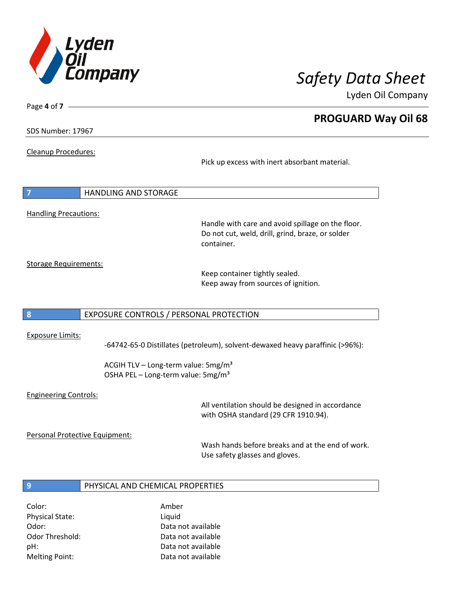

Lyden Oil Company

SDS Number: 17967

Page **4** of **7**

Cleanup Procedures:

Pick up excess with inert absorbant material.

| $\overline{7}$               | I HANDLING AND STORAGE |
|------------------------------|------------------------|
|                              |                        |
| <b>Handling Precautions:</b> |                        |

Handle with care and avoid spillage on the floor. Do not cut, weld, drill, grind, braze, or solder container.

Storage Requirements:

Keep container tightly sealed. Keep away from sources of ignition.

### **8** EXPOSURE CONTROLS / PERSONAL PROTECTION

#### Exposure Limits:

-64742-65-0 Distillates (petroleum), solvent-dewaxed heavy paraffinic (>96%):

ACGIH TLV – Long-term value:  $5mg/m<sup>3</sup>$ OSHA PEL - Long-term value: 5mg/m<sup>3</sup>

#### Engineering Controls:

All ventilation should be designed in accordance with OSHA standard (29 CFR 1910.94).

Personal Protective Equipment:

Wash hands before breaks and at the end of work. Use safety glasses and gloves.

#### **9** PHYSICAL AND CHEMICAL PROPERTIES

Color: Amber Physical State: Liquid

Odor: Data not available Odor Threshold: Data not available pH: Data not available Melting Point: Data not available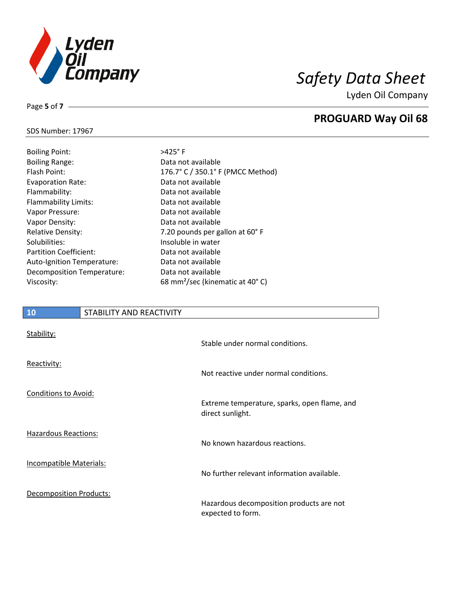

Lyden Oil Company

### SDS Number: 17967

Page **5** of **7**

| <b>Boiling Point:</b>            |
|----------------------------------|
| <b>Boiling Range:</b>            |
| Flash Point:                     |
| <b>Evaporation Rate:</b>         |
| Flammability:                    |
| <b>Flammability Limits:</b>      |
| Vapor Pressure:                  |
| Vapor Density:                   |
| <b>Relative Density:</b>         |
| Solubilities:                    |
| <b>Partition Coefficient:</b>    |
| Auto-Ignition Temperature:       |
| <b>Decomposition Temperature</b> |
| Viscosity:                       |
|                                  |

### $>425^\circ$  F Data not available 176.7° C / 350.1° F (PMCC Method) Data not available Data not available Data not available Data not available Data not available 7.20 pounds per gallon at 60° F Insoluble in water Data not available Data not available : Data not available 68 mm<sup>2</sup>/sec (kinematic at 40°C)

# **10** STABILITY AND REACTIVITY Stability: Stable under normal conditions. Reactivity: Not reactive under normal conditions. Conditions to Avoid: Extreme temperature, sparks, open flame, and direct sunlight. Hazardous Reactions: No known hazardous reactions. Incompatible Materials: No further relevant information available. Decomposition Products: Hazardous decomposition products are not expected to form.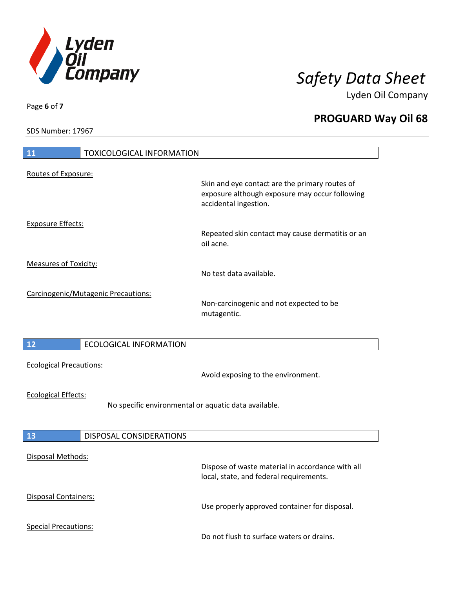

Lyden Oil Company

SDS Number: 17967

Page **6** of **7**

| 11<br><b>TOXICOLOGICAL INFORMATION</b> |                                                                                                                           |
|----------------------------------------|---------------------------------------------------------------------------------------------------------------------------|
|                                        |                                                                                                                           |
| Routes of Exposure:                    | Skin and eye contact are the primary routes of<br>exposure although exposure may occur following<br>accidental ingestion. |
| <b>Exposure Effects:</b>               | Repeated skin contact may cause dermatitis or an<br>oil acne.                                                             |
| <b>Measures of Toxicity:</b>           | No test data available.                                                                                                   |
| Carcinogenic/Mutagenic Precautions:    | Non-carcinogenic and not expected to be<br>mutagentic.                                                                    |
| 12<br><b>ECOLOGICAL INFORMATION</b>    |                                                                                                                           |
| <b>Ecological Precautions:</b>         | Avoid exposing to the environment.                                                                                        |
| <b>Ecological Effects:</b>             | No specific environmental or aquatic data available.                                                                      |
| <b>DISPOSAL CONSIDERATIONS</b><br>13   |                                                                                                                           |
| Disposal Methods:                      | Dispose of waste material in accordance with all<br>local, state, and federal requirements.                               |
| Disposal Containers:                   | Use properly approved container for disposal.                                                                             |
| <b>Special Precautions:</b>            | Do not flush to surface waters or drains.                                                                                 |